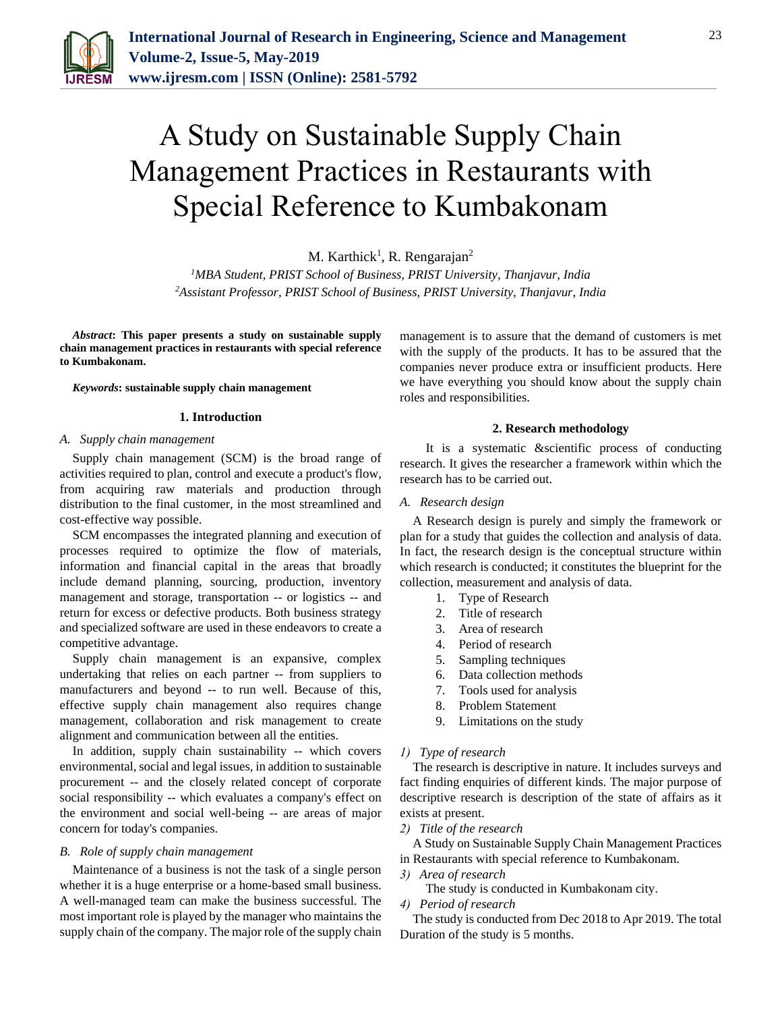

# A Study on Sustainable Supply Chain Management Practices in Restaurants with Special Reference to Kumbakonam

M. Karthick<sup>1</sup>, R. Rengarajan<sup>2</sup>

*<sup>1</sup>MBA Student, PRIST School of Business, PRIST University, Thanjavur, India 2Assistant Professor, PRIST School of Business, PRIST University, Thanjavur, India*

*Abstract***: This paper presents a study on sustainable supply chain management practices in restaurants with special reference to Kumbakonam.**

*Keywords***: sustainable supply chain management**

#### **1. Introduction**

#### *A. Supply chain management*

Supply chain management (SCM) is the broad range of activities required to plan, control and execute a product's flow, from acquiring raw materials and production through distribution to the final customer, in the most streamlined and cost-effective way possible.

SCM encompasses the integrated planning and execution of processes required to optimize the flow of materials, information and financial capital in the areas that broadly include demand planning, sourcing, production, inventory management and storage, transportation -- or logistics -- and return for excess or defective products. Both business strategy and specialized software are used in these endeavors to create a competitive advantage.

Supply chain management is an expansive, complex undertaking that relies on each partner -- from suppliers to manufacturers and beyond -- to run well. Because of this, effective supply chain management also requires change management, collaboration and risk management to create alignment and communication between all the entities.

In addition, supply chain sustainability -- which covers environmental, social and legal issues, in addition to sustainable procurement -- and the closely related concept of corporate social responsibility -- which evaluates a company's effect on the environment and social well-being -- are areas of major concern for today's companies.

#### *B. Role of supply chain management*

Maintenance of a business is not the task of a single person whether it is a huge enterprise or a home-based small business. A well-managed team can make the business successful. The most important role is played by the manager who maintains the supply chain of the company. The major role of the supply chain management is to assure that the demand of customers is met with the supply of the products. It has to be assured that the companies never produce extra or insufficient products. Here we have everything you should know about the supply chain roles and responsibilities.

### **2. Research methodology**

It is a systematic &scientific process of conducting research. It gives the researcher a framework within which the research has to be carried out.

### *A. Research design*

A Research design is purely and simply the framework or plan for a study that guides the collection and analysis of data. In fact, the research design is the conceptual structure within which research is conducted; it constitutes the blueprint for the collection, measurement and analysis of data.

- 1. Type of Research
- 2. Title of research
- 3. Area of research
- 4. Period of research
- 5. Sampling techniques
- 6. Data collection methods
- 7. Tools used for analysis
- 8. Problem Statement
- 9. Limitations on the study

## *1) Type of research*

The research is descriptive in nature. It includes surveys and fact finding enquiries of different kinds. The major purpose of descriptive research is description of the state of affairs as it exists at present.

*2) Title of the research*

A Study on Sustainable Supply Chain Management Practices in Restaurants with special reference to Kumbakonam.

*3) Area of research*

The study is conducted in Kumbakonam city.

*4) Period of research*

The study is conducted from Dec 2018 to Apr 2019. The total Duration of the study is 5 months.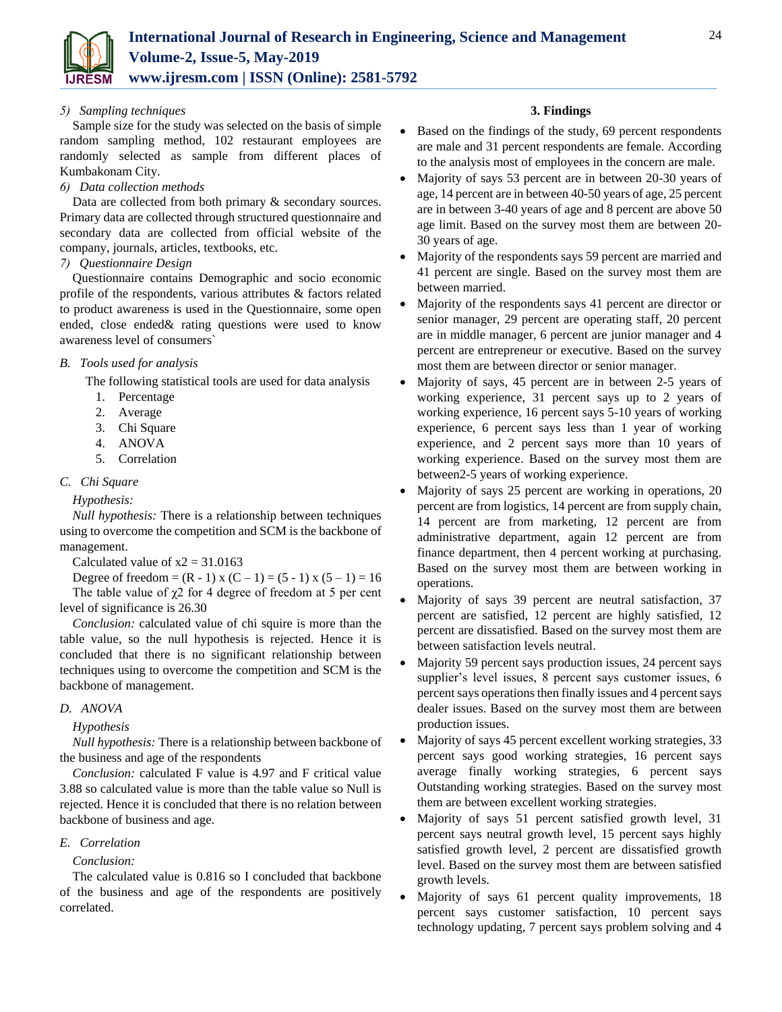

## *5) Sampling techniques*

Sample size for the study was selected on the basis of simple random sampling method, 102 restaurant employees are randomly selected as sample from different places of Kumbakonam City.

## *6) Data collection methods*

Data are collected from both primary & secondary sources. Primary data are collected through structured questionnaire and secondary data are collected from official website of the company, journals, articles, textbooks, etc.

## *7) Questionnaire Design*

Questionnaire contains Demographic and socio economic profile of the respondents, various attributes & factors related to product awareness is used in the Questionnaire, some open ended, close ended& rating questions were used to know awareness level of consumers`

## *B. Tools used for analysis*

The following statistical tools are used for data analysis

- 1. Percentage
- 2. Average
- 3. Chi Square
- 4. ANOVA
- 5. Correlation

# *C. Chi Square*

# *Hypothesis:*

*Null hypothesis:* There is a relationship between techniques using to overcome the competition and SCM is the backbone of management.

Calculated value of  $x2 = 31.0163$ 

Degree of freedom =  $(R - 1)x (C - 1) = (5 - 1)x (5 - 1) = 16$ The table value of  $\chi$ 2 for 4 degree of freedom at 5 per cent level of significance is 26.30

*Conclusion:* calculated value of chi squire is more than the table value, so the null hypothesis is rejected. Hence it is concluded that there is no significant relationship between techniques using to overcome the competition and SCM is the backbone of management.

# *D. ANOVA*

# *Hypothesis*

*Null hypothesis:* There is a relationship between backbone of the business and age of the respondents

*Conclusion:* calculated F value is 4.97 and F critical value 3.88 so calculated value is more than the table value so Null is rejected. Hence it is concluded that there is no relation between backbone of business and age.

# *E. Correlation*

# *Conclusion:*

The calculated value is 0.816 so I concluded that backbone of the business and age of the respondents are positively correlated.

## **3. Findings**

- Based on the findings of the study, 69 percent respondents are male and 31 percent respondents are female. According to the analysis most of employees in the concern are male.
- Majority of says 53 percent are in between 20-30 years of age, 14 percent are in between 40-50 years of age, 25 percent are in between 3-40 years of age and 8 percent are above 50 age limit. Based on the survey most them are between 20- 30 years of age.
- Majority of the respondents says 59 percent are married and 41 percent are single. Based on the survey most them are between married.
- Majority of the respondents says 41 percent are director or senior manager, 29 percent are operating staff, 20 percent are in middle manager, 6 percent are junior manager and 4 percent are entrepreneur or executive. Based on the survey most them are between director or senior manager.
- Majority of says, 45 percent are in between 2-5 years of working experience, 31 percent says up to 2 years of working experience, 16 percent says 5-10 years of working experience, 6 percent says less than 1 year of working experience, and 2 percent says more than 10 years of working experience. Based on the survey most them are between2-5 years of working experience.
- Majority of says 25 percent are working in operations, 20 percent are from logistics, 14 percent are from supply chain, 14 percent are from marketing, 12 percent are from administrative department, again 12 percent are from finance department, then 4 percent working at purchasing. Based on the survey most them are between working in operations.
- Majority of says 39 percent are neutral satisfaction, 37 percent are satisfied, 12 percent are highly satisfied, 12 percent are dissatisfied. Based on the survey most them are between satisfaction levels neutral.
- Majority 59 percent says production issues, 24 percent says supplier's level issues, 8 percent says customer issues, 6 percent says operations then finally issues and 4 percent says dealer issues. Based on the survey most them are between production issues.
- Majority of says 45 percent excellent working strategies, 33 percent says good working strategies, 16 percent says average finally working strategies, 6 percent says Outstanding working strategies. Based on the survey most them are between excellent working strategies.
- Majority of says 51 percent satisfied growth level, 31 percent says neutral growth level, 15 percent says highly satisfied growth level, 2 percent are dissatisfied growth level. Based on the survey most them are between satisfied growth levels.
- Majority of says 61 percent quality improvements, 18 percent says customer satisfaction, 10 percent says technology updating, 7 percent says problem solving and 4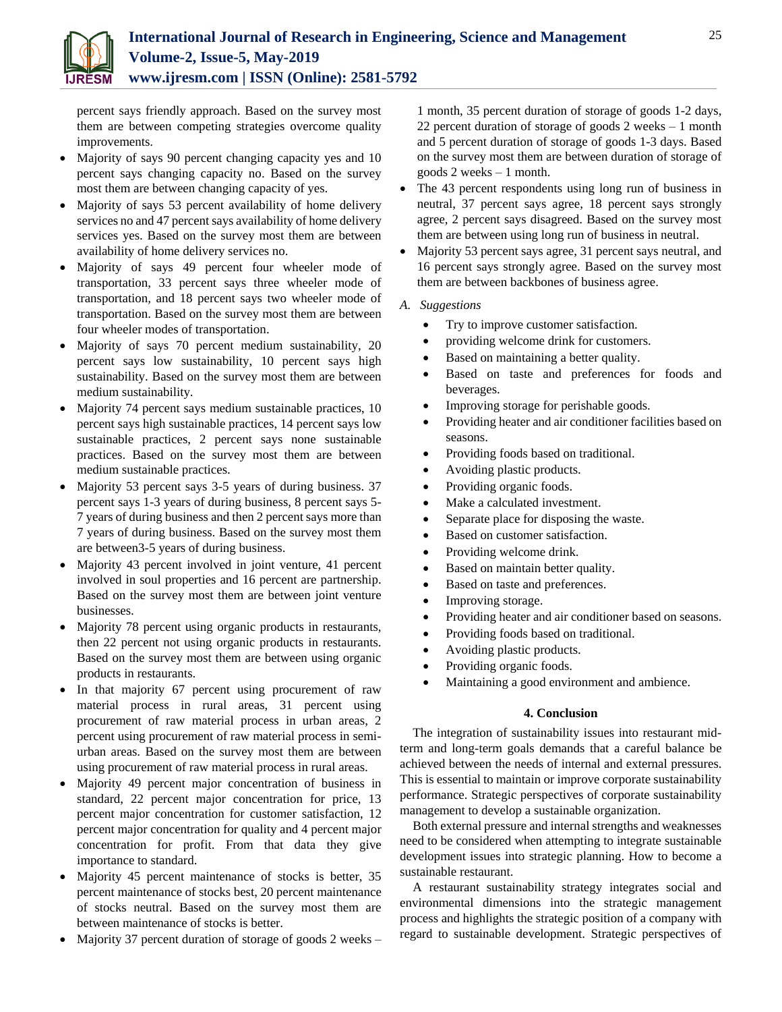

percent says friendly approach. Based on the survey most them are between competing strategies overcome quality improvements.

- Majority of says 90 percent changing capacity yes and 10 percent says changing capacity no. Based on the survey most them are between changing capacity of yes.
- Majority of says 53 percent availability of home delivery services no and 47 percent says availability of home delivery services yes. Based on the survey most them are between availability of home delivery services no.
- Majority of says 49 percent four wheeler mode of transportation, 33 percent says three wheeler mode of transportation, and 18 percent says two wheeler mode of transportation. Based on the survey most them are between four wheeler modes of transportation.
- Majority of says 70 percent medium sustainability, 20 percent says low sustainability, 10 percent says high sustainability. Based on the survey most them are between medium sustainability.
- Majority 74 percent says medium sustainable practices, 10 percent says high sustainable practices, 14 percent says low sustainable practices, 2 percent says none sustainable practices. Based on the survey most them are between medium sustainable practices.
- Majority 53 percent says 3-5 years of during business. 37 percent says 1-3 years of during business, 8 percent says 5- 7 years of during business and then 2 percent says more than 7 years of during business. Based on the survey most them are between3-5 years of during business.
- Majority 43 percent involved in joint venture, 41 percent involved in soul properties and 16 percent are partnership. Based on the survey most them are between joint venture businesses.
- Majority 78 percent using organic products in restaurants, then 22 percent not using organic products in restaurants. Based on the survey most them are between using organic products in restaurants.
- In that majority 67 percent using procurement of raw material process in rural areas, 31 percent using procurement of raw material process in urban areas, 2 percent using procurement of raw material process in semiurban areas. Based on the survey most them are between using procurement of raw material process in rural areas.
- Majority 49 percent major concentration of business in standard, 22 percent major concentration for price, 13 percent major concentration for customer satisfaction, 12 percent major concentration for quality and 4 percent major concentration for profit. From that data they give importance to standard.
- Majority 45 percent maintenance of stocks is better, 35 percent maintenance of stocks best, 20 percent maintenance of stocks neutral. Based on the survey most them are between maintenance of stocks is better.
- Majority 37 percent duration of storage of goods 2 weeks –

1 month, 35 percent duration of storage of goods 1-2 days, 22 percent duration of storage of goods 2 weeks – 1 month and 5 percent duration of storage of goods 1-3 days. Based on the survey most them are between duration of storage of goods 2 weeks – 1 month.

- The 43 percent respondents using long run of business in neutral, 37 percent says agree, 18 percent says strongly agree, 2 percent says disagreed. Based on the survey most them are between using long run of business in neutral.
- Majority 53 percent says agree, 31 percent says neutral, and 16 percent says strongly agree. Based on the survey most them are between backbones of business agree.
- *A. Suggestions* 
	- Try to improve customer satisfaction.
	- providing welcome drink for customers.
	- Based on maintaining a better quality.
	- Based on taste and preferences for foods and beverages.
	- Improving storage for perishable goods.
	- Providing heater and air conditioner facilities based on seasons.
	- Providing foods based on traditional.
	- Avoiding plastic products.
	- Providing organic foods.
	- Make a calculated investment.
	- Separate place for disposing the waste.
	- Based on customer satisfaction.
	- Providing welcome drink.
	- Based on maintain better quality.
	- Based on taste and preferences.
	- Improving storage.
	- Providing heater and air conditioner based on seasons.
	- Providing foods based on traditional.
	- Avoiding plastic products.
	- Providing organic foods.
	- Maintaining a good environment and ambience.

## **4. Conclusion**

The integration of sustainability issues into restaurant midterm and long-term goals demands that a careful balance be achieved between the needs of internal and external pressures. This is essential to maintain or improve corporate sustainability performance. Strategic perspectives of corporate sustainability management to develop a sustainable organization.

Both external pressure and internal strengths and weaknesses need to be considered when attempting to integrate sustainable development issues into strategic planning. How to become a sustainable restaurant.

A restaurant sustainability strategy integrates social and environmental dimensions into the strategic management process and highlights the strategic position of a company with regard to sustainable development. Strategic perspectives of